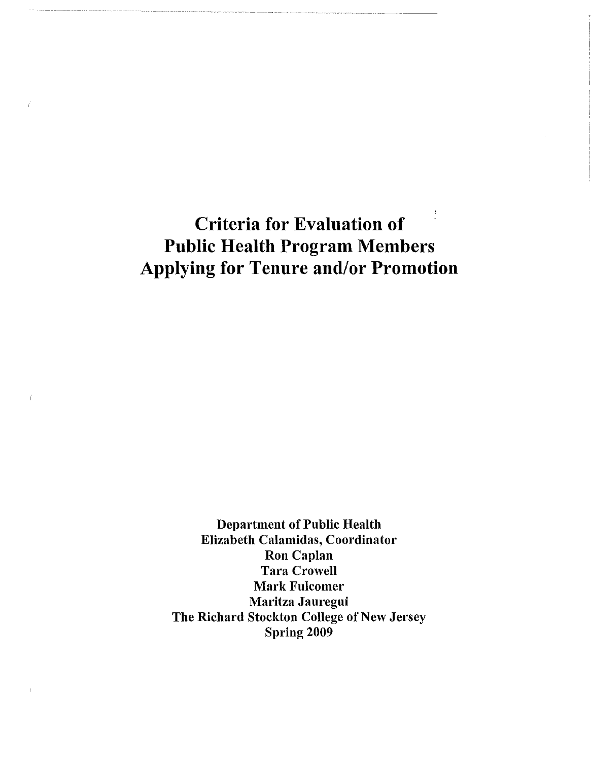**Criteria for Evaluation of Public Health Program Members Applying for Tenure and/or Promotion** 

Department of Public Health Elizabeth Calamidas, Coordinator Ron Caplan Tara Crowell **Mark Fulcomer** Maritza Jauregui The Richard Stockton College of New Jersey Spring 2009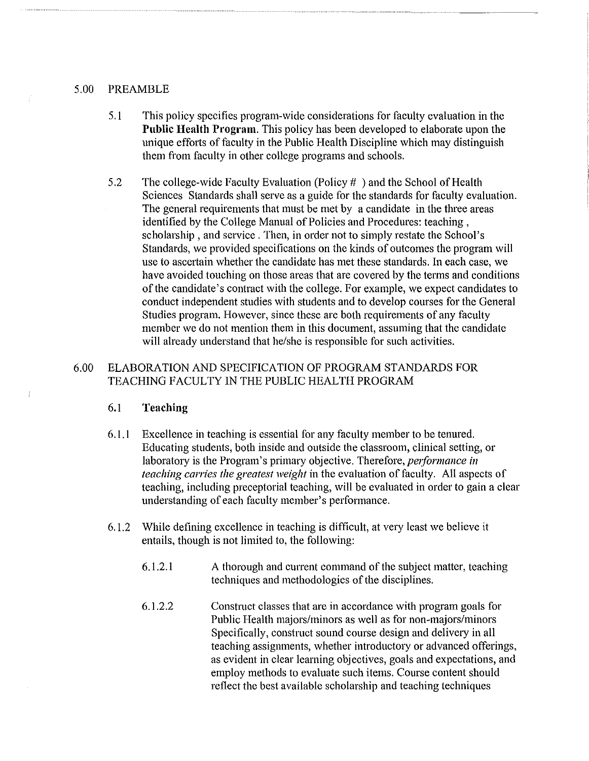#### 5.00 PREAMBLE

- 5.1 This policy specifies program-wide considerations for faculty evaluation in the **Public Health Program.** This policy has been developed to elaborate upon the unique efforts of faculty in the Public Health Discipline which may distinguish them from faculty in other college programs and schools.
- 5.2 The college-wide Faculty Evaluation (Policy# ) and the School of Health Sciences Standards shall serve as a guide for the standards for faculty evaluation. The general requirements that must be met by a candidate in the three areas identified by the College Manual of Policies and Procedures: teaching , scholarship, and service. Then, in order not to simply restate the School's Standards, we provided specifications on the kinds of outcomes the program will use to ascertain whether the candidate has met these standards. In each case, we have avoided touching on those areas that are covered by the terms and conditions of the candidate's contract with the college. For example, we expect candidates to conduct independent studies with students and to develop courses for the General Studies program. However, since these are both requirements of any faculty member we do not mention them in this document, assuming that the candidate will already understand that he/she is responsible for such activities.

# 6.00 ELABORATION AND SPECIFICATION OF PROGRAM STANDARDS FOR TEACHING FACULTY IN THE PUBLIC HEALTH PROGRAM

## 6.1 **Teaching**

- 6.1.1 Excellence in teaching is essential for any faculty member to be tenured. Educating students, both inside and outside the classroom, clinical setting, or laboratory is the Program's primary objective. Therefore, *performance in teaching carries the greatest weight* in the evaluation of faculty. All aspects of teaching, including preceptorial teaching, will be evaluated in order to gain a clear understanding of each faculty member's performance.
- 6.1.2 While defining excellence in teaching is difficult, at very least we believe it entails, though is not limited to, the following:
	- 6.1.2.1 A thorough and current command of the subject matter, teaching techniques and methodologies of the disciplines.
	- 6.1.2.2 Construct classes that are in accordance with program goals for Public Health majors/minors as well as for non-majors/minors Specifically, construct sound course design and delivery in all teaching assignments, whether introductory or advanced offerings, as evident in clear learning objectives, goals and expectations, and employ methods to evaluate such items. Course content should reflect the best available scholarship and teaching techniques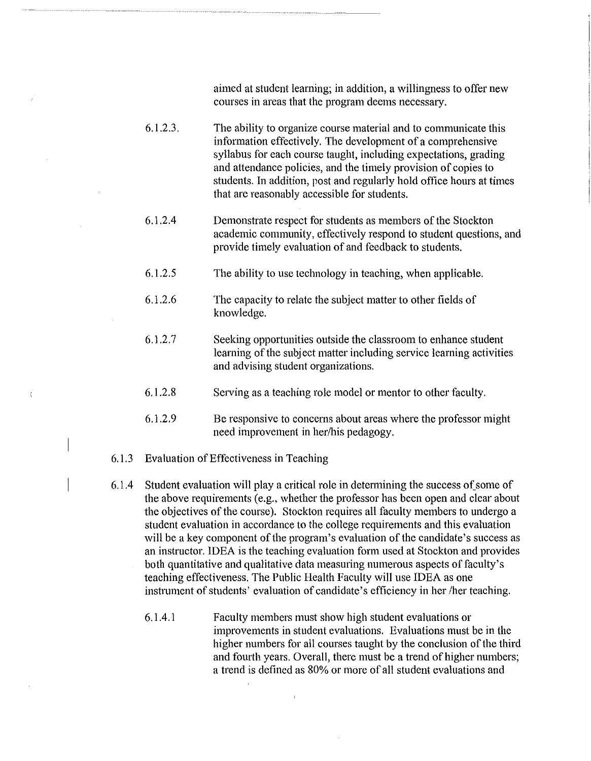aimed at student learning; in addition, a willingness to offer new courses in areas that the program deems necessaty.

- 6.1.2.3. The ability to organize course material and to communicate this information effectively. The development of a comprehensive syllabus for each course taught, including expectations, grading and attendance policies, and the timely provision of copies to students. In addition, post and regularly hold office hours at times that are reasonably accessible for students.
- 6.1.2.4 Demonstrate respect for students as members of the Stockton academic community, effectively respond to student questions, and provide timely evaluation of and feedback to students.
- 6.1.2.5 The ability to use technology in teaching, when applicable.
- 6.1.2.6 The capacity to relate the subject matter to other fields of knowledge.
- 6.1.2.7 Seeking opportunities outside the classroom to enhance student learning of the subject matter including service learning activities and advising student organizations.
- 6.1.2.8 Serving as a teaching role model or mentor to other faculty.
- 6.1.2.9 Be responsive to concerns about areas where the professor might need improvement in her/his pedagogy.
- 6.1.3 Evaluation of Effectiveness in Teaching

Ä

- 6.1.4 Student evaluation will play a critical role in determining the success of some of the above requirements (e.g., whether the professor has been open and clear about the objectives of the course). Stockton requires all faculty members to undergo a student evaluation in accordance to the college requirements and this evaluation will be a key component of the program's evaluation of the candidate's success as an instructor. IDEA is the teaching evaluation form used at Stockton and provides both quantitative and qualitative data measuring numerous aspects of faculty's teaching effectiveness. The Public Health Faculty will use IDEA as one instrument of students' evaluation of candidate's efficiency in her /her teaching.
	- 6.1.4.1 Faculty members must show high student evaluations or improvements in student evaluations. Evaluations must be in the higher numbers for all courses taught by the conclusion of the third and fourth years. Overall, there must be a trend of higher numbers; a trend is defined as 80% or more of all student evaluations and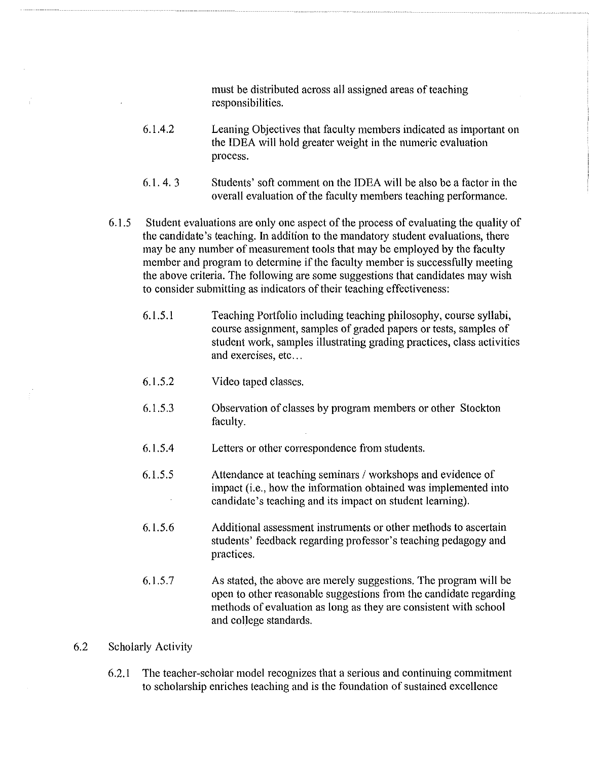must be distributed across all assigned areas of teaching responsibilities.

- 6.1.4.2 Leaning Objectives that faculty members indicated as important on the IDEA will hold greater weight in the numeric evaluation process.
- 6.1. 4. 3 Students' soft comment on the IDEA will be also be a factor in the overall evaluation of the faculty members teaching performance.
- 6.1.5 Student evaluations are only one aspect of the process of evaluating the quality of the candidate's teaching. In addition to the mandatory student evaluations, there may be any number of measurement tools that may be employed by the faculty member and program to determine if the faculty member is successfully meeting the above criteria. The following are some suggestions that candidates may wish to consider submitting as indicators of their teaching effectiveness:
	- 6.1.5.1 Teaching Portfolio including teaching philosophy, course syllabi, course assignment, samples of graded papers or tests, samples of student work, samples illustrating grading practices, class activities and exercises, etc...
	- 6.1.5.2 Video taped classes.
	- 6.1.5.3 Observation of classes by program members or other Stockton faculty.
	- 6.1.5.4 Letters or other correspondence from students.
	- 6.1.5.5 Attendance at teaching seminars / workshops and evidence of impact (i.e., how the information obtained was implemented into candidate's teaching and its impact on student learning).
	- 6.1.5.6 Additional assessment instruments or other methods to ascertain students' feedback regarding professor's teaching pedagogy and practices.
	- 6.1.5.7 As stated, the above are merely suggestions. The program will be open to other reasonable suggestions from the candidate regarding methods of evaluation as long as they are consistent with school and college standards.

#### 6.2 Scholarly Activity

6.2.1 The teacher-scholar model recognizes that a serious and continuing commitment to scholarship enriches teaching and is the foundation of sustained excellence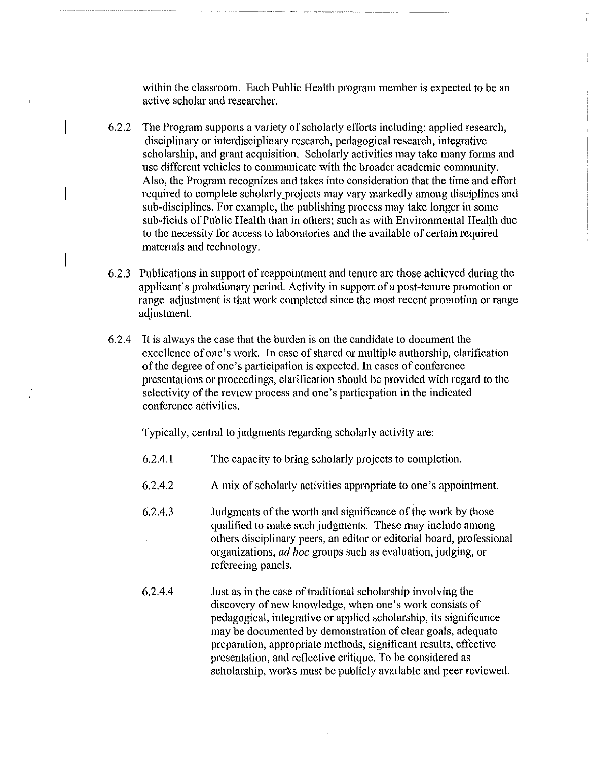within the classroom. Each Public Health program member is expected to be an active scholar and researcher.

- 6.2.2 The Program supports a variety of scholarly efforts including: applied research, disciplinaty or interdisciplinary research, pedagogical research, integrative scholarship, and grant acquisition. Scholarly activities may take many forms and use different vehicles to communicate with the broader academic community. Also, the Program recognizes and takes into consideration that the time and effort required to complete scholarly projects may vary markedly among disciplines and sub-disciplines. For example, the publishing process may take longer in some sub-fields of Public Health than in others; such as with Environmental Health due to the necessity for access to laboratories and the available of certain required materials and technology.
- 6.2.3 Publications in support of reappointment and tenure are those achieved during the applicant's probationary period. Activity in support of a post-tenure promotion or range adjustment is that work completed since the most recent promotion or range adjustment.
- 6.2.4 It is always the case that the burden is on the candidate to document the excellence of one's work. In case of shared or multiple authorship, clarification of the degree of one's participation is expected. In cases of conference presentations or proceedings, clarification should be provided with regard to the selectivity of the review process and one's participation in the indicated conference activities.

Typically, central to judgments regarding scholarly activity are:

- 6.2.4.1 The capacity to bring scholarly projects to completion.
- 6.2.4.2 A mix of scholarly activities appropriate to one's appointment.
- 6.2.4.3 Judgments of the worth and significance of the work by those qualified to make such judgments. These may include among others disciplinary peers, an editor or editorial board, professional organizations, *ad hoc* groups such as evaluation, judging, or refereeing panels.
- 6.2.4.4 Just as in the case of traditional scholarship involving the discovety of new knowledge, when one's work consists of pedagogical, integrative or applied scholarship, its significance may be documented by demonstration of clear goals, adequate preparation, appropriate methods, significant results, effective presentation, and reflective critique. To be considered as scholarship, works must be publicly available and peer reviewed.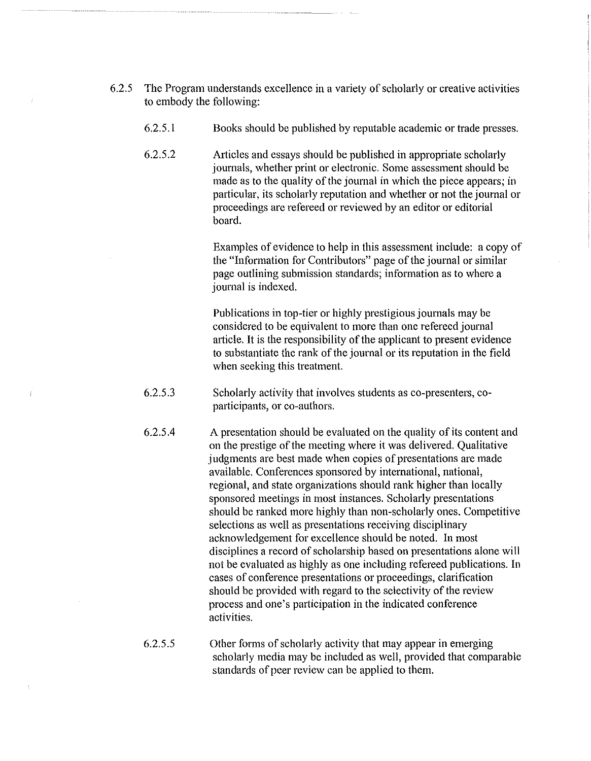- 6.2.5 The Program understands excellence in a variety of scholarly or creative activities to embody the following:
	- 6.2.5.1 Books should be published by reputable academic or trade presses.
	- 6.2.5.2 Articles and essays should be published in appropriate scholarly journals, whether print or electronic. Some assessment should be made as to the quality of the journal in which the piece appears; in particular, its scholarly reputation and whether or not the journal or proceedings are refereed or reviewed by an editor or editorial board.

Examples of evidence to help in this assessment include: a copy of the "Information for Contributors" page of the journal or similar page outlining submission standards; information as to where a journal is indexed.

Publications in top-tier or highly prestigious journals may be considered to be equivalent to more than one refereed journal article. It is the responsibility of the applicant to present evidence to substantiate the rank of the journal or its reputation in the field when seeking this treatment.

- 6.2.5.3 Scholarly activity that involves students as co-presenters, coparticipants, or co-authors.
- 6.2.5.4 A presentation should be evaluated on the quality of its content and on the prestige of the meeting where it was delivered. Qualitative judgments are best made when copies of presentations are made available. Conferences sponsored by international, national, regional, and state organizations should rank higher than locally sponsored meetings in most instances. Scholarly presentations should be ranked more highly than non-scholarly ones. Competitive selections as well as presentations receiving disciplinaty acknowledgement for excellence should be noted. In most disciplines a record of scholarship based on presentations alone will not be evaluated as highly as one including refereed publications. In cases of conference presentations or proceedings, clarification should be provided with regard to the selectivity of the review process and one's participation in the indicated conference activities.
- 6.2.5.5 Other forms of scholarly activity that may appear in emerging scholarly media may be included as well, provided that comparable standards of peer review can be applied to them.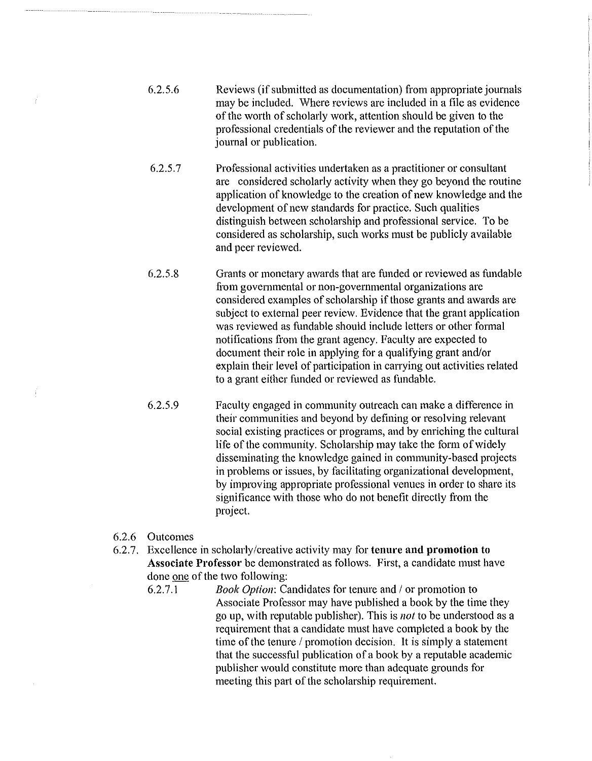- 6.2.5.6 Reviews (if submitted as documentation) from appropriate journals may be included. Where reviews are included in a file as evidence of the worth of scholarly work, attention should be given to the professional credentials of the reviewer and the reputation of the journal or publication.
- 6.2.5.7 Professional activities undertaken as a practitioner or consultant are considered scholarly activity when they go beyond the routine application of knowledge to the creation of new knowledge and the development of new standards for practice. Such qualities distinguish between scholarship and professional service. To be considered as scholarship, such works must be publicly available and peer reviewed.
- 6.2.5.8 Grants or monetary awards that are funded or reviewed as fundable from governmental or non-governmental organizations are considered examples of scholarship if those grants and awards are subject to external peer review. Evidence that the grant application was reviewed as fundable should include letters or other formal notifications from the grant agency. Faculty are expected to document their role in applying for a qualifying grant and/or explain their level of participation in carrying out activities related to a grant either funded or reviewed as fundable.
- 6.2.5.9 Faculty engaged in community outreach can make a difference in their communities and beyond by defining or resolving relevant social existing practices or programs, and by enriching the cultural life of the community. Scholarship may take the form of widely disseminating the knowledge gained in community-based projects in problems or issues, by facilitating organizational development, by improving appropriate professional venues in order to share its significance with those who do not benefit directly from the project.
- 6.2.6 Outcomes

- i

- 6.2.7. Excellence in scholarly/creative activity may for **tenure and promotion to Associate Professor** be demonstrated as follows. First, a candidate must have done one of the two following:
	- 6.2.7.1 *Book Option:* Candidates for tenure and *I* or promotion to Associate Professor may have published a book by the time they go up, with reputable publisher). This is *not* to be understood as a requirement that a candidate must have completed a book by the time of the tenure / promotion decision. It is simply a statement that the successful publication of a book by a reputable academic publisher would constitute more than adequate grounds for meeting this part of the scholarship requirement.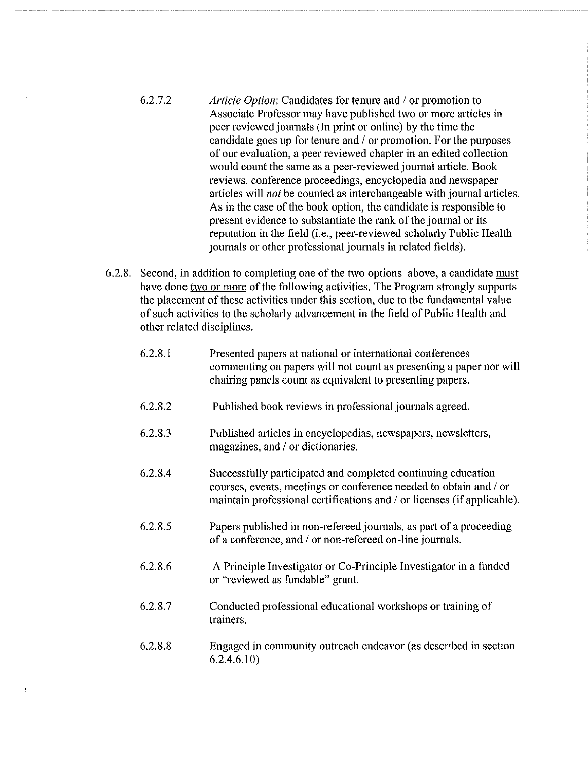- 6.2.7.2 *Article Option:* Candidates for tenure and *I* or promotion to Associate Professor may have published two or more articles in peer reviewed journals (In print or online) by the time the candidate goes up for tenure and / or promotion. For the purposes of our evaluation, a peer reviewed chapter in an edited collection would count the same as a peer-reviewed journal article. Book reviews, conference proceedings, encyclopedia and newspaper articles will *not* be counted as interchangeable with journal articles. As in the case of the book option, the candidate is responsible to present evidence to substantiate the rank of the journal or its reputation in the field (i.e., peer-reviewed scholarly Public Health journals or other professional journals in related fields).
- 6.2.8. Second, in addition to completing one of the two options above, a candidate must have done two or more of the following activities. The Program strongly supports the placement of these activities under this section, due to the fundamental value of such activities to the scholarly advancement in the field of Public Health and other related disciplines.
	- 6.2.8.1 Presented papers at national or international conferences commenting on papers will not count as presenting a paper nor will chairing panels count as equivalent to presenting papers.
	- 6.2.8.2 Published book reviews in professional journals agreed.
	- 6.2.8.3 Published articles in encyclopedias, newspapers, newsletters, magazines, and / or dictionaries.
	- 6.2.8.4 Successfully participated and completed continuing education courses, events, meetings or conference needed to obtain and / or maintain professional certifications and  $\theta$  or licenses (if applicable).
	- 6.2.8.5 Papers published in non-refereed journals, as part of a proceeding of a conference, and / or non-refereed on-line journals.
	- 6.2.8.6 A Principle Investigator or Co-Principle Investigator in a funded or "reviewed as fundable" grant.
	- 6.2.8.7 Conducted professional educational workshops or training of trainers.
	- 6.2.8.8 Engaged in community outreach endeavor (as described in section  $6.2.4.6.10$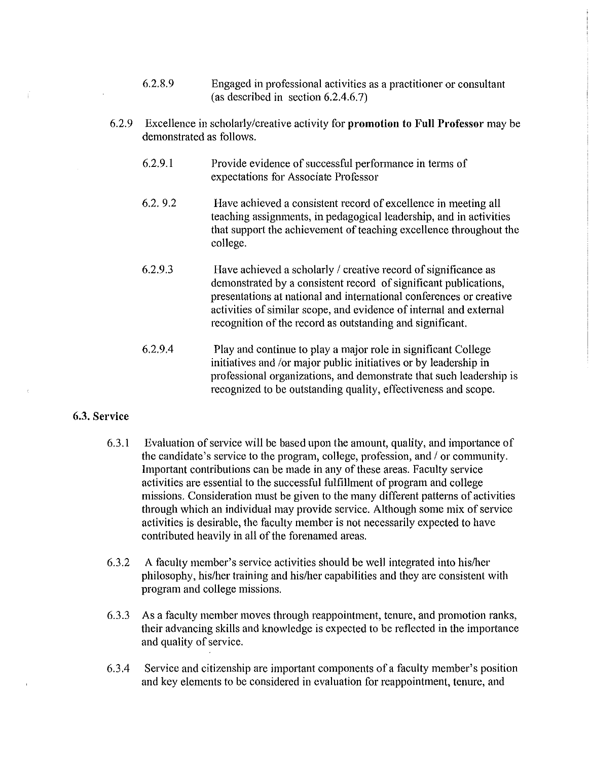- 6.2.8.9 Engaged in professional activities as a practitioner or consultant (as described in section 6.2.4.6.7)
- 6.2.9 Excellence in scholarly/creative activity for **promotion to Full Professor** may be demonstrated as follows.
	- 6.2.9.1 Provide evidence of successful performance in terms of expectations for Associate Professor
	- 6.2. 9.2 Have achieved a consistent record of excellence in meeting all teaching assignments, in pedagogical leadership, and in activities that support the achievement of teaching excellence throughout the college.
	- 6.2.9.3 Have achieved a scholarly / creative record of significance as demonstrated by a consistent record of significant publications, presentations at national and international conferences or creative activities of similar scope, and evidence of internal and external recognition of the record as outstanding and significant.
	- 6.2.9.4 Play and continue to play a major role in significant College initiatives and /or major public initiatives or by leadership in professional organizations, and demonstrate that such leadership is recognized to be outstanding quality, effectiveness and scope.

## 6.3. **Service**

- 6.3.1 Evaluation of service will be based upon the amount, quality, and importance of the candidate's service to the program, college, profession, and / or community. Important contributions can be made in any of these areas. Faculty service activities are essential to the successful fulfillment of program and college missions. Consideration must be given to the many different patterns of activities through which an individual may provide service. Although some mix of service activities is desirable, the faculty member is not necessarily expected to have contributed heavily in all of the forenamed areas.
- 6.3.2 A faculty member's service activities should be well integrated into his/her philosophy, his/her training and his/her capabilities and they are consistent with program and college missions.
- 6.3.3 As a faculty member moves through reappointment, tenure, and promotion ranks, their advancing skills and knowledge is expected to be reflected in the importance and quality of service.
- 6.3.4 Service and citizenship are important components of a faculty member's position and key elements to be considered in evaluation for reappointment, tenure, and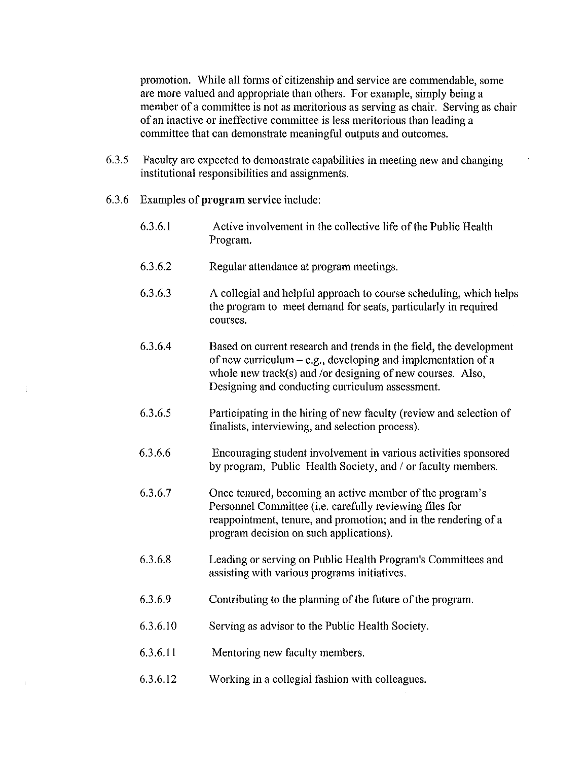promotion. While all forms of citizenship and service are commendable, some are more valued and appropriate than others. For example, simply being a member of a committee is not as meritorious as serving as chair. Serving as chair of an inactive or ineffective committee is less meritorious than leading a committee that can demonstrate meaningful outputs and outcomes.

- 6.3.5 Faculty are expected to demonstrate capabilities in meeting new and changing institutional responsibilities and assignments.
- 6.3.6 Examples of **program** service include:
	- 6.3.6.1 Active involvement in the collective life of the Public Health Program.
	- 6.3.6.2 Regular attendance at program meetings.
	- 6.3.6.3 A collegial and helpful approach to course scheduling, which helps the program to meet demand for seats, particularly in required courses.
	- 6.3.6.4 Based on current research and trends in the field, the development of new curriculum  $-e.g.,$  developing and implementation of a whole new track(s) and /or designing of new courses. Also, Designing and conducting curriculum assessment.
	- 6.3.6.5 Participating in the hiring of new faculty (review and selection of finalists, interviewing, and selection process).
	- 6.3.6.6 Encouraging student involvement in various activities sponsored by program, Public Health Society, and / or faculty members.
	- 6.3.6.7 Once tenured, becoming an active member of the program's Personnel Committee (i.e. carefully reviewing files for reappointment, tenure, and promotion; and in the rendering of a program decision on such applications).
	- 6.3.6.8 Leading or serving on Public Health Program's Committees and assisting with various programs initiatives.
	- 6.3.6.9 Contributing to the planning of the future of the program.
	- 6.3.6.10 Serving as advisor to the Public Health Society.
	- 6.3.6.11 Mentoring new faculty members.
	- 6.3.6.12 Working in a collegial fashion with colleagues.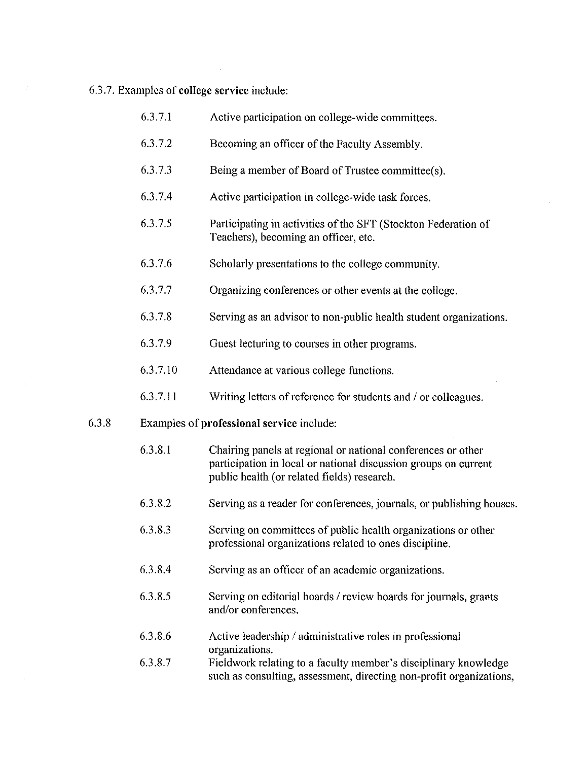6.3.7. Examples of **college service** include:

 $\sim 10^6$ 

 $\sim$   $\alpha$ 

| 6.3.7.1  | Active participation on college-wide committees.                                                                                                                               |
|----------|--------------------------------------------------------------------------------------------------------------------------------------------------------------------------------|
| 6.3.7.2  | Becoming an officer of the Faculty Assembly.                                                                                                                                   |
| 6.3.7.3  | Being a member of Board of Trustee committee(s).                                                                                                                               |
| 63.74    | Active participation in college-wide task forces.                                                                                                                              |
| 6.3.7.5  | Participating in activities of the SFT (Stockton Federation of<br>Teachers), becoming an officer, etc.                                                                         |
| 6.3.7.6  | Scholarly presentations to the college community.                                                                                                                              |
| 6.3.77   | Organizing conferences or other events at the college.                                                                                                                         |
| 6.3.7.8  | Serving as an advisor to non-public health student organizations.                                                                                                              |
| 6.3.7.9  | Guest lecturing to courses in other programs.                                                                                                                                  |
| 6.3.7.10 | Attendance at various college functions.                                                                                                                                       |
| 6.3.7.11 | Writing letters of reference for students and / or colleagues.                                                                                                                 |
|          | Examples of professional service include:                                                                                                                                      |
| 6.3.8.1  | Chairing panels at regional or national conferences or other<br>participation in local or national discussion groups on current<br>public health (or related fields) research. |
| 6.3.8.2  | Serving as a reader for conferences, journals, or publishing houses.                                                                                                           |
| 6.3.8.3  | Serving on committees of public health organizations or other<br>professional organizations related to ones discipline.                                                        |
| 6.3.8.4  | Serving as an officer of an academic organizations.                                                                                                                            |
| 6.3.8.5  | Serving on editorial boards / review boards for journals, grants<br>and/or conferences.                                                                                        |
| 6386     | Active leadership / administrative roles in professional                                                                                                                       |
| 6.3.8.7  | organizations.<br>Fieldwork relating to a faculty member's disciplinary knowledge<br>such as consulting, assessment, directing non-profit organizations,                       |
|          |                                                                                                                                                                                |

 $\sim$